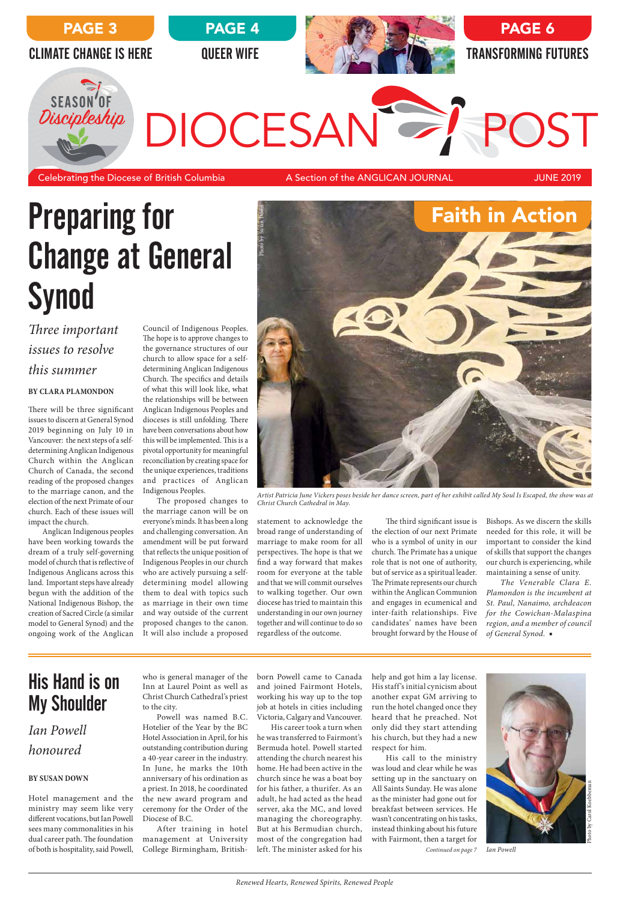Bishops. As we discern the skills needed for this role, it will be important to consider the kind of skills that support the changes our church is experiencing, while maintaining a sense of unity.

*The Venerable Clara E. Plamondon is the incumbent at St. Paul, Nanaimo, archdeacon for the Cowichan-Malaspina region, and a member of council of General Synod.* ■

born Powell came to Canada and joined Fairmont Hotels, working his way up to the top

help and got him a lay license. His staff's initial cynicism about another expat GM arriving to

run the hotel changed once they heard that he preached. Not only did they start attending his church, but they had a new respect for him.

# Preparing for Change at General **Synod**

job at hotels in cities including Victoria, Calgary and Vancouver. His career took a turn when he was transferred to Fairmont's Bermuda hotel. Powell started attending the church nearest his home. He had been active in the church since he was a boat boy for his father, a thurifer. As an adult, he had acted as the head server, aka the MC, and loved managing the choreography. But at his Bermudian church, most of the congregation had left. The minister asked for his College Birmingham, British-

His call to the ministry was loud and clear while he was setting up in the sanctuary on All Saints Sunday. He was alone as the minister had gone out for breakfast between services. He wasn't concentrating on his tasks, instead thinking about his future with Fairmont, then a target for

who is general manager of the Inn at Laurel Point as well as Christ Church Cathedral's priest to the city. Powell was named B.C. Hotelier of the Year by the BC Hotel Association in April, for his outstanding contribution during a 40-year career in the industry. In June, he marks the 10th anniversary of his ordination as a priest. In 2018, he coordinated the new award program and ceremony for the Order of the Diocese of B.C. After training in hotel management at University



statement to acknowledge the broad range of understanding of marriage to make room for all perspectives. The hope is that we find a way forward that makes room for everyone at the table and that we will commit ourselves to walking together. Our own diocese has tried to maintain this understanding in our own journey together and will continue to do so regardless of the outcome.

The third significant issue is the election of our next Primate who is a symbol of unity in our church. The Primate has a unique role that is not one of authority, but of service as a spiritual leader. The Primate represents our church within the Anglican Communion and engages in ecumenical and inter-faith relationships. Five candidates' names have been brought forward by the House of

The hope is to approve changes to the governance structures of our church to allow space for a selfdetermining Anglican Indigenous Church. The specifics and details of what this will look like, what the relationships will be between Anglican Indigenous Peoples and dioceses is still unfolding. There have been conversations about how this will be implemented. This is a pivotal opportunity for meaningful reconciliation by creating space for the unique experiences, traditions and practices of Anglican Indigenous Peoples.

The proposed changes to the marriage canon will be on everyone's minds. It has been a long and challenging conversation. An amendment will be put forward that reflects the unique position of Indigenous Peoples in our church who are actively pursuing a selfdetermining model allowing them to deal with topics such as marriage in their own time and way outside of the current proposed changes to the canon. It will also include a proposed



*Artist Patricia June Vickers poses beside her dance screen, part of her exhibit called My Soul Is Escaped, the show was at Christ Church Cathedral in May.*

*Three important issues to resolve this summer*

## **BY CLARA PLAMONDON**

There will be three significant issues to discern at General Synod 2019 beginning on July 10 in Vancouver: the next steps of a selfdetermining Anglican Indigenous Church within the Anglican Church of Canada, the second reading of the proposed changes to the marriage canon, and the election of the next Primate of our church. Each of these issues will impact the church.

Anglican Indigenous peoples have been working towards the dream of a truly self-governing model of church that is reflective of Indigenous Anglicans across this land. Important steps have already begun with the addition of the National Indigenous Bishop, the creation of Sacred Circle (a similar model to General Synod) and the ongoing work of the Anglican



## *Ian Powell*

## *honoured*

## **BY SUSAN DOWN**

Hotel management and the ministry may seem like very different vocations, but Ian Powell sees many commonalities in his dual career path. The foundation of both is hospitality, said Powell,

## His Hand is on My Shoulder

 *Continued on page 7 Ian Powell*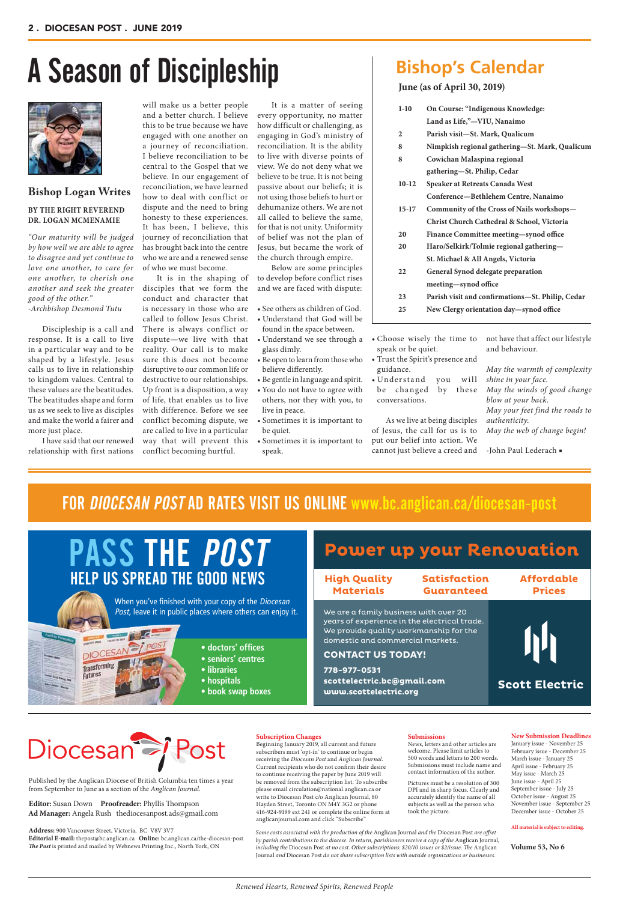# A Season of Discipleship Bishop's Cale



#### **New Submission Deadlines**

January issue - November 25 February issue - December 25 March issue - January 25 April issue - February 25 May issue - March 25 June issue - April 25 September issue - July 25 October issue - August 25 November issue - September 25 December issue - October 25

**All material is subject to editing.**

#### **Submissions**

News, letters and other articles are welcome. Please limit articles to 500 words and letters to 200 words. Submissions must include name and contact information of the author.

Pictures must be a resolution of 300 DPI and in sharp focus. Clearly and accurately identify the name of all subjects as well as the person who took the picture.

### **Subscription Changes**

Beginning January 2019, all current and future subscribers must 'opt-in' to continue or begin receiving the *Diocesan Post* and *Anglican Journal*. Current recipients who do not confirm their desire to continue receiving the paper by June 2019 will be removed from the subscription list. To subscribe please email circulation@national.anglican.ca or write to Diocesan Post c/o Anglican Journal, 80 Hayden Street, Toronto ON M4Y 3G2 or phone 416-924-9199 ext 241 or complete the online form at anglicanjournal.com and click "Subscribe"

**Volume 53, No 6**

Published by the Anglican Diocese of British Columbia ten times a year from September to June as a section of the *Anglican Journal*.

### **Editor:** Susan Down **Proofreader:** Phyllis Thompson  **Ad Manager:** Angela Rush thediocesanpost.ads@gmail.com

**Address:** 900 Vancouver Street, Victoria, BC V8V 3V7 **Editorial E-mail:** thepost@bc.anglican.ca **Online:** bc.anglican.ca/the-diocesan-post *The Post* is printed and mailed by Webnews Printing Inc., North York, ON

#### *Some costs associated with the production of the* Anglican Journal *and the* Diocesan Post *are offset by parish contributions to the diocese. In return, parishioners receive a copy of the* Anglican Journal*, including the* Diocesan Post *at no cost. Other subscriptions: \$20/10 issues or \$2/issue. The* Anglican Journal *and* Diocesan Post *do not share subscription lists with outside organizations or businesses.*

- $\bullet$  Cho speak or be quiet.
- guidance.
- Understand you will be changed by these conversations.

## **Bishop Logan Writes**

## **BY THE RIGHT REVEREND DR. LOGAN MCMENAMIE**

*"Our maturity will be judged by how well we are able to agree to disagree and yet continue to love one another, to care for one another, to cherish one another and seek the greater good of the other."* 

*-Archbishop Desmond Tutu*

Discipleship is a call and response. It is a call to live in a particular way and to be shaped by a lifestyle. Jesus calls us to live in relationship to kingdom values. Central to these values are the beatitudes. The beatitudes shape and form us as we seek to live as disciples and make the world a fairer and more just place.

I have said that our renewed relationship with first nations

It is a matter of seeing every opportunity, no matter how difficult or challenging, as engaging in God's ministry of reconciliation. It is the ability to live with diverse points of view. We do not deny what we believe to be true. It is not being passive about our beliefs; it is not using those beliefs to hurt or dehumanize others. We are not all called to believe the same, for that is not unity. Uniformity of belief was not the plan of Jesus, but became the work of the church through empire.

Below are some principles to develop before conflict rises and we are faced with dispute:

- See others as children of God. • Understand that God will be found in the space between.
- Understand we see through a glass dimly.
- Be open to learn from those who Trust the Spirit's presence and believe differently.
- Be gentle in language and spirit. • You do not have to agree with others, nor they with you, to live in peace.
- Sometimes it is important to be quiet.
- Sometimes it is important to speak.

As we live at being disciples of Jesus, the call for us is to put our belief into action. We cannot just believe a creed and

not have that affect our lifestyle and behaviour.

*May the warmth of complexity shine in your face. May the winds of good change blow at your back. May your feet find the roads to authenticity. May the web of change begin!*

-John Paul Lederach ■

will make us a better people and a better church. I believe this to be true because we have engaged with one another on a journey of reconciliation. I believe reconciliation to be central to the Gospel that we believe. In our engagement of reconciliation, we have learned how to deal with conflict or dispute and the need to bring honesty to these experiences. It has been, I believe, this journey of reconciliation that has brought back into the centre who we are and a renewed sense of who we must become.

It is in the shaping of disciples that we form the conduct and character that is necessary in those who are called to follow Jesus Christ. There is always conflict or dispute—we live with that reality. Our call is to make sure this does not become disruptive to our common life or destructive to our relationships. Up front is a disposition, a way of life, that enables us to live with difference. Before we see conflict becoming dispute, we are called to live in a particular way that will prevent this conflict becoming hurtful.

## **Bishop's Calendar**

| $1-10$         | On Course: "Indigenous Knowledge:                |
|----------------|--------------------------------------------------|
|                | Land as Life,"-VIU, Nanaimo                      |
| $\overline{2}$ | Parish visit-St. Mark, Qualicum                  |
| 8              | Nimpkish regional gathering-St. Mark, Qualicum   |
| 8              | Cowichan Malaspina regional                      |
|                | gathering-St. Philip, Cedar                      |
| $10-12$        | Speaker at Retreats Canada West                  |
|                | Conference-Bethlehem Centre, Nanaimo             |
| $15-17$        | Community of the Cross of Nails workshops-       |
|                | Christ Church Cathedral & School, Victoria       |
| 20             | Finance Committee meeting-synod office           |
| 20             | Haro/Selkirk/Tolmie regional gathering-          |
|                | St. Michael & All Angels, Victoria               |
| 22             | <b>General Synod delegate preparation</b>        |
|                | meeting-synod office                             |
| 23             | Parish visit and confirmations-St. Philip, Cedar |
|                | New Clergy orientation day-synod office          |





# Diocesan<sup>2</sup>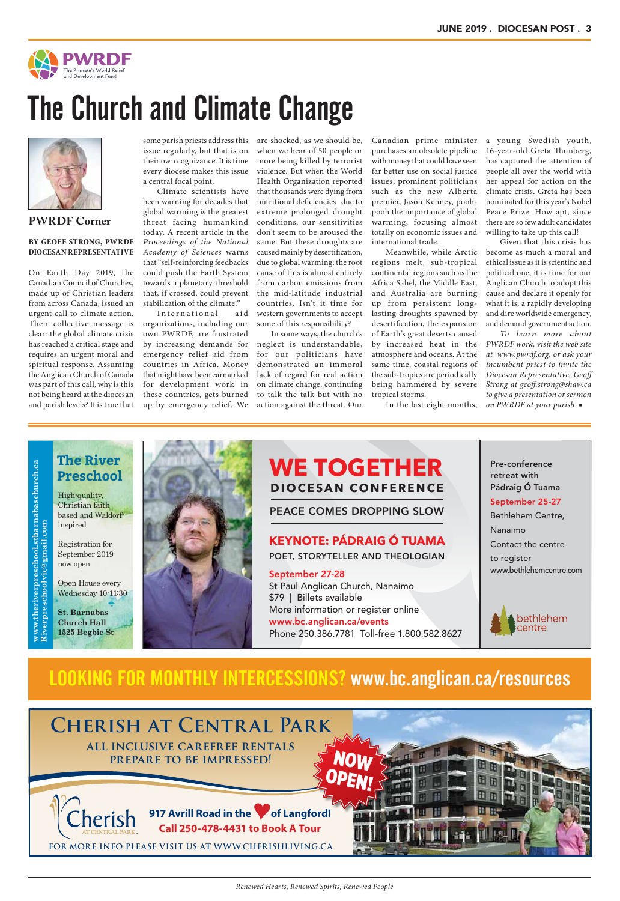

## The Church and Climate Change



are shocked, as we should be, when we hear of 50 people or more being killed by terrorist violence. But when the World Health Organization reported that thousands were dying from nutritional deficiencies due to extreme prolonged drought conditions, our sensitivities don't seem to be aroused the same. But these droughts are caused mainly by desertification, due to global warming; the root cause of this is almost entirely from carbon emissions from the mid-latitude industrial countries. Isn't it time for western governments to accept some of this responsibility?

In some ways, the church's neglect is understandable, for our politicians have demonstrated an immoral lack of regard for real action on climate change, continuing to talk the talk but with no action against the threat. Our

Canadian prime minister purchases an obsolete pipeline with money that could have seen far better use on social justice issues; prominent politicians such as the new Alberta premier, Jason Kenney, poohpooh the importance of global warming, focusing almost totally on economic issues and international trade.

Meanwhile, while Arctic regions melt, sub-tropical continental regions such as the Africa Sahel, the Middle East, and Australia are burning up from persistent longlasting droughts spawned by desertification, the expansion of Earth's great deserts caused atmosphere and oceans. At the same time, coastal regions of the sub-tropics are periodically being hammered by severe tropical storms.

In the last eight months,

a young Swedish youth, 16-year-old Greta Thunberg, has captured the attention of people all over the world with her appeal for action on the climate crisis. Greta has been nominated for this year's Nobel Peace Prize. How apt, since there are so few adult candidates willing to take up this call!

International aid organizations, including our own PWRDF, are frustrated by increasing demands for emergency relief aid from countries in Africa. Money that might have been earmarked for development work in these countries, gets burned up by emergency relief. We

by increased heat in the *PWRDF work, visit the web site To learn more about at www.pwrdf.org, or ask your incumbent priest to invite the Diocesan Representative, Geoff Strong at geoff.strong@shaw.ca to give a presentation or sermon on PWRDF at your parish*. ■

Given that this crisis has become as much a moral and ethical issue as it is scientific and political one, it is time for our Anglican Church to adopt this cause and declare it openly for what it is, a rapidly developing and dire worldwide emergency, and demand government action.

 $www.theriverpreschool.stbarnabasehurch.ca \nRiverpresechoolvic@gmail.com$ **www.theriverpreschool.stbarnabaschurch.ca Riverpreschoolvic@gmail.com**

**PWRDF Corner**

### **BY GEOFF STRONG, PWRDF DIOCESAN REPRESENTATIVE**

On Earth Day 2019, the Canadian Council of Churches, made up of Christian leaders from across Canada, issued an urgent call to climate action. Their collective message is clear: the global climate crisis has reached a critical stage and requires an urgent moral and spiritual response. Assuming the Anglican Church of Canada was part of this call, why is this not being heard at the diocesan and parish levels? It is true that

some parish priests address this issue regularly, but that is on their own cognizance. It is time every diocese makes this issue a central focal point.

Climate scientists have been warning for decades that global warming is the greatest threat facing humankind today. A recent article in the *Proceedings of the National Academy of Sciences* warns that "self-reinforcing feedbacks could push the Earth System towards a planetary threshold that, if crossed, could prevent stabilization of the climate."



## LOOKING FOR MONTHLY INTERCESSIONS? www.bc.anglican.ca/resources

## **WE TOGETHER DIOCESAN CONFERENCE**

PEACE COMES DROPPING SLOW

## **KEYNOTE: PÁDRAIG Ó TUAMA**

POET, STORYTELLER AND THEOLOGIAN

September 27-28 St Paul Anglican Church, Nanaimo \$79 | Billets available More information or register online www.bc.anglican.ca/events Phone 250.386.7781 Toll-free 1.800.582.8627 Pre-conference retreat with Pádraig Ó Tuama September 25-27 Bethlehem Centre, Nanaimo Contact the centre to register www.bethlehemcentre.com



High-quality, Christian faith based and Waldorfinspired

Registration for September 2019 now open

Open House every Wednesday 10-11:30

**St. Barnabas Church Hall 1525 Begbie St**

## **The River Preschool**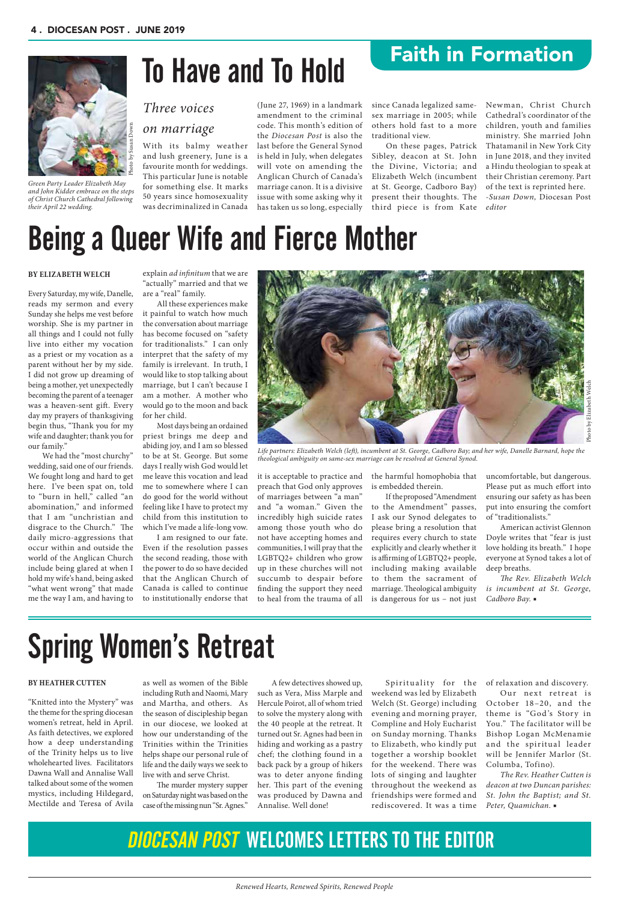since Canada legalized samesex marriage in 2005; while others hold fast to a more traditional view.

On these pages, Patrick Sibley, deacon at St. John the Divine, Victoria; and Elizabeth Welch (incumbent at St. George, Cadboro Bay) present their thoughts. The third piece is from Kate

Newman, Christ Church Cathedral's coordinator of the children, youth and families ministry. She married John Thatamanil in New York City in June 2018, and they invited a Hindu theologian to speak at their Christian ceremony. Part of the text is reprinted here. *-Susan Down,* Diocesan Post *editor*

## *Three voices on marriage*

With its balmy weather and lush greenery, June is a favourite month for weddings. This particular June is notable for something else. It marks 50 years since homosexuality was decriminalized in Canada (June 27, 1969) in a landmark amendment to the criminal

code. This month's edition of the *Diocesan Post* is also the last before the General Synod is held in July, when delegates will vote on amending the Anglican Church of Canada's marriage canon. It is a divisive issue with some asking why it has taken us so long, especially

# To Have and To Hold

it is acceptable to practice and preach that God only approves of marriages between "a man" and "a woman." Given the incredibly high suicide rates among those youth who do not have accepting homes and communities, I will pray that the LGBTQ2+ children who grow up in these churches will not succumb to despair before finding the support they need to heal from the trauma of all the harmful homophobia that is embedded therein.

If the proposed "Amendment to the Amendment" passes, I ask our Synod delegates to please bring a resolution that requires every church to state explicitly and clearly whether it is affirming of LGBTQ2+ people, including making available to them the sacrament of marriage. Theological ambiguity is dangerous for us – not just uncomfortable, but dangerous. Please put as much effort into ensuring our safety as has been put into ensuring the comfort of "traditionalists."

American activist Glennon Doyle writes that "fear is just love holding its breath." I hope everyone at Synod takes a lot of deep breaths.

*The Rev. Elizabeth Welch is incumbent at St. George, Cadboro Bay.* ■

#### **BY ELIZABETH WELCH**

Every Saturday, my wife, Danelle, reads my sermon and every Sunday she helps me vest before worship. She is my partner in all things and I could not fully live into either my vocation as a priest or my vocation as a parent without her by my side. I did not grow up dreaming of being a mother, yet unexpectedly becoming the parent of a teenager was a heaven-sent gift. Every day my prayers of thanksgiving begin thus, "Thank you for my wife and daughter; thank you for our family."

> Spirituality for the of relaxation and discovery. weekend was led by Elizabeth Welch (St. George) including evening and morning prayer, Compline and Holy Eucharist on Sunday morning. Thanks to Elizabeth, who kindly put together a worship booklet for the weekend. There was lots of singing and laughter throughout the weekend as friendships were formed and rediscovered. It was a time

Our next retreat is October 18–20, and the theme is "God's Story in You." The facilitator will be Bishop Logan McMenamie and the spiritual leader will be Jennifer Marlor (St. Columba, Tofino). *The Rev. Heather Cutten is deacon at two Duncan parishes: St. John the Baptist; and St. Peter, Quamichan.* ■

We had the "most churchy" wedding, said one of our friends. We fought long and hard to get here. I've been spat on, told to "burn in hell," called "an abomination," and informed that I am "unchristian and disgrace to the Church." The daily micro-aggressions that occur within and outside the world of the Anglican Church include being glared at when I hold my wife's hand, being asked "what went wrong" that made me the way I am, and having to

explain *ad infinitum* that we are "actually" married and that we are a "real" family.

All these experiences make it painful to watch how much the conversation about marriage has become focused on "safety for traditionalists." I can only interpret that the safety of my family is irrelevant. In truth, I would like to stop talking about marriage, but I can't because I am a mother. A mother who would go to the moon and back for her child.

Most days being an ordained priest brings me deep and abiding joy, and I am so blessed to be at St. George. But some days I really wish God would let me leave this vocation and lead me to somewhere where I can do good for the world without feeling like I have to protect my child from this institution to which I've made a life-long vow.

I am resigned to our fate. Even if the resolution passes the second reading, those with the power to do so have decided that the Anglican Church of Canada is called to continue to institutionally endorse that



## Being a Queer Wife and Fierce Mother

*Life partners: Elizabeth Welch (left), incumbent at St. George, Cadboro Bay; and her wife, Danelle Barnard, hope the theological ambiguity on same-sex marriage can be resolved at General Synod.* 

Photo by Elizabeth Welch

A few detectives showed up, such as Vera, Miss Marple and Hercule Poirot, all of whom tried to solve the mystery along with the 40 people at the retreat. It turned out Sr. Agnes had been in hiding and working as a pastry chef; the clothing found in a back pack by a group of hikers was to deter anyone finding her. This part of the evening was produced by Dawna and Annalise. Well done!

## **BY HEATHER CUTTEN**

"Knitted into the Mystery" was

the theme for the spring diocesan women's retreat, held in April. As faith detectives, we explored how a deep understanding of the Trinity helps us to live wholehearted lives. Facilitators Dawna Wall and Annalise Wall talked about some of the women mystics, including Hildegard, Mectilde and Teresa of Avila

as well as women of the Bible including Ruth and Naomi, Mary and Martha, and others. As the season of discipleship began in our diocese, we looked at how our understanding of the Trinities within the Trinities helps shape our personal rule of life and the daily ways we seek to live with and serve Christ. The murder mystery supper on Saturday night was based on the case of the missing nun "Sr. Agnes."

# Spring Women's Retreat

## DIOCESAN POST WELCOMES LETTERS TO THE EDITOR

Faith in Formation



*Green Party Leader Elizabeth May and John Kidder embrace on the steps of Christ Church Cathedral following their April 22 wedding.*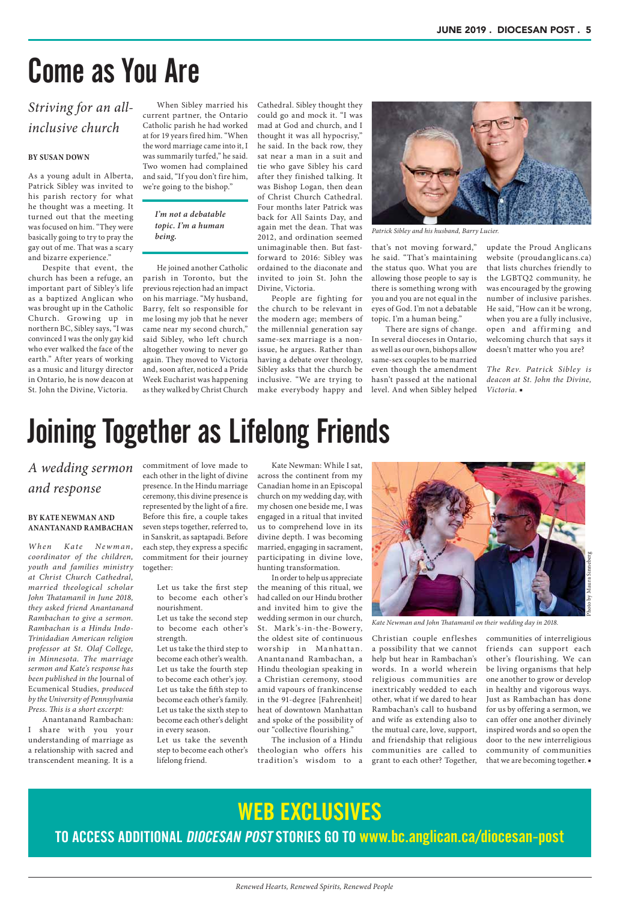*Renewed Hearts, Renewed Spirits, Renewed People*

Cathedral. Sibley thought they could go and mock it. "I was mad at God and church, and I thought it was all hypocrisy," he said. In the back row, they sat near a man in a suit and tie who gave Sibley his card after they finished talking. It was Bishop Logan, then dean of Christ Church Cathedral. Four months later Patrick was back for All Saints Day, and again met the dean. That was 2012, and ordination seemed unimaginable then. But fastforward to 2016: Sibley was ordained to the diaconate and invited to join St. John the Divine, Victoria.

People are fighting for the church to be relevant in the modern age; members of the millennial generation say same-sex marriage is a nonissue, he argues. Rather than having a debate over theology, Sibley asks that the church be inclusive. "We are trying to make everybody happy and that's not moving forward," he said. "That's maintaining the status quo. What you are allowing those people to say is there is something wrong with you and you are not equal in the eyes of God. I'm not a debatable topic. I'm a human being."

There are signs of change. In several dioceses in Ontario, as well as our own, bishops allow same-sex couples to be married even though the amendment hasn't passed at the national level. And when Sibley helped

update the Proud Anglicans website (proudanglicans.ca) that lists churches friendly to the LGBTQ2 community, he was encouraged by the growing number of inclusive parishes. He said, "How can it be wrong, when you are a fully inclusive, open and affirming and welcoming church that says it doesn't matter who you are?

*The Rev. Patrick Sibley is deacon at St. John the Divine, Victoria.* ■

## *Striving for an allinclusive church*

## **BY SUSAN DOWN**

As a young adult in Alberta, Patrick Sibley was invited to his parish rectory for what he thought was a meeting. It turned out that the meeting was focused on him. "They were basically going to try to pray the gay out of me. That was a scary and bizarre experience."

> Christian couple enfleshes a possibility that we cannot help but hear in Rambachan's words. In a world wherein religious communities are inextricably wedded to each other, what if we dared to hear Rambachan's call to husband and wife as extending also to the mutual care, love, support, and friendship that religious communities are called to grant to each other? Together,

Despite that event, the church has been a refuge, an important part of Sibley's life as a baptized Anglican who was brought up in the Catholic Church. Growing up in northern BC, Sibley says, "I was convinced I was the only gay kid who ever walked the face of the earth." After years of working as a music and liturgy director in Ontario, he is now deacon at St. John the Divine, Victoria.

When Sibley married his current partner, the Ontario Catholic parish he had worked at for 19 years fired him. "When the word marriage came into it, I was summarily turfed," he said. Two women had complained and said, "If you don't fire him, we're going to the bishop."

He joined another Catholic parish in Toronto, but the previous rejection had an impact on his marriage. "My husband, Barry, felt so responsible for me losing my job that he never came near my second church," said Sibley, who left church altogether vowing to never go again. They moved to Victoria and, soon after, noticed a Pride Week Eucharist was happening as they walked by Christ Church

# Come as You Are



*Patrick Sibley and his husband, Barry Lucier.*

*I'm not a debatable topic. I'm a human being.*

> Kate Newman: While I sat, across the continent from my Canadian home in an Episcopal church on my wedding day, with my chosen one beside me, I was engaged in a ritual that invited us to comprehend love in its divine depth. I was becoming married, engaging in sacrament, participating in divine love, hunting transformation.

In order to help us appreciate the meaning of this ritual, we had called on our Hindu brother and invited him to give the wedding sermon in our church, St. Mark 's-in-the-Bowery, the oldest site of continuous worship in Manhattan. Anantanand Rambachan, a Hindu theologian speaking in a Christian ceremony, stood amid vapours of frankincense in the 91-degree [Fahrenheit] heat of downtown Manhattan and spoke of the possibility of our "collective flourishing." The inclusion of a Hindu theologian who offers his tradition's wisdom to a

communities of interreligious friends can support each other's flourishing. We can be living organisms that help one another to grow or develop in healthy and vigorous ways. Just as Rambachan has done for us by offering a sermon, we can offer one another divinely inspired words and so open the door to the new interreligious community of communities that we are becoming together. ■



*Kate Newman and John Thatamanil on their wedding day in 2018.*

## *A wedding sermon and response*

## **BY KATE NEWMAN AND ANANTANAND RAMBACHAN**

*W hen Kate Ne w man , coordinator of the children, youth and families ministry at Christ Church Cathedral, married theological scholar John Thatamanil in June 2018, they asked friend Anantanand Rambachan to give a sermon. Rambachan is a Hindu Indo-Trinidadian American religion professor at St. Olaf College, in Minnesota. The marriage sermon and Kate's response has been published in the* Journal of Ecumenical Studies*, produced by the University of Pennsylvania Press. This is a short excerpt:* Anantanand Rambachan: I share with you your understanding of marriage as a relationship with sacred and transcendent meaning. It is a

commitment of love made to each other in the light of divine presence. In the Hindu marriage ceremony, this divine presence is represented by the light of a fire. Before this fire, a couple takes seven steps together, referred to, in Sanskrit, as saptapadi. Before each step, they express a specific commitment for their journey together:

- Let us take the first step to become each other's nourishment.
- Let us take the second step to become each other's strength.

Let us take the third step to become each other's wealth. Let us take the fourth step to become each other's joy. Let us take the fifth step to become each other's family. Let us take the sixth step to become each other's delight in every season. Let us take the seventh step to become each other's lifelong friend.

# Joining Together as Lifelong Friends

## WEB EXCLUSIVES

## TO ACCESS ADDITIONAL DIOCESAN POST STORIES GO TO www.bc.anglican.ca/diocesan-post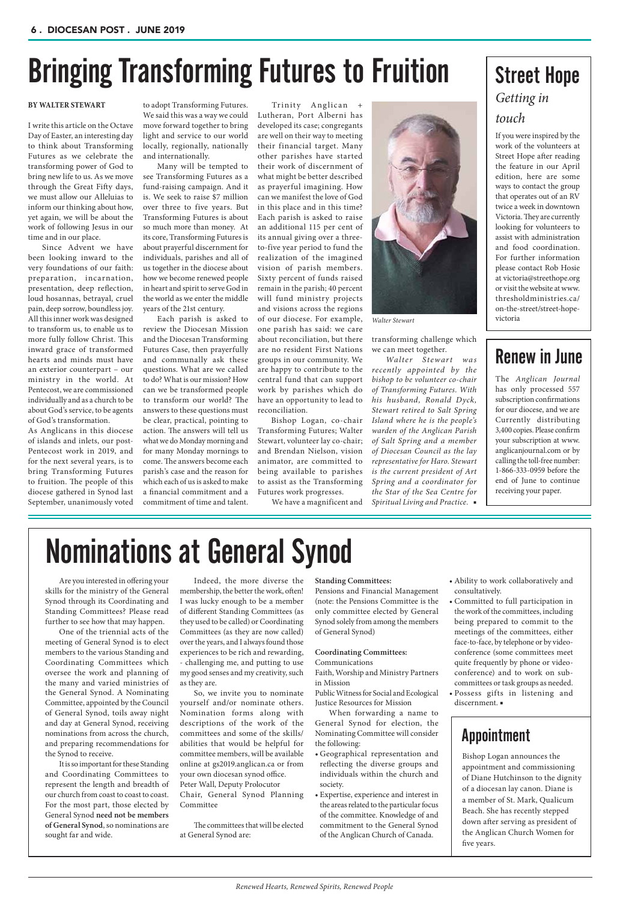Lutheran, Port Alberni has developed its case; congregants are well on their way to meeting their financial target. Many other parishes have started their work of discernment of what might be better described as prayerful imagining. How can we manifest the love of God in this place and in this time? Each parish is asked to raise an additional 115 per cent of its annual giving over a threeto-five year period to fund the realization of the imagined vision of parish members. Sixty percent of funds raised remain in the parish; 40 percent will fund ministry projects and visions across the regions of our diocese. For example, one parish has said: we care about reconciliation, but there are no resident First Nations groups in our community. We are happy to contribute to the central fund that can support work by parishes which do have an opportunity to lead to reconciliation.

 Bishop Logan, co-chair Transforming Futures; Walter Stewart, volunteer lay co-chair; and Brendan Nielson, vision animator, are committed to being available to parishes to assist as the Transforming Futures work progresses.

We have a magnificent and

transforming challenge which we can meet together.

*Walter Stewart was recently appointed by the bishop to be volunteer co-chair of Transforming Futures. With his husband, Ronald Dyck, Stewart retired to Salt Spring Island where he is the people's warden of the Anglican Parish of Salt Spring and a member of Diocesan Council as the lay representative for Haro. Stewart is the current president of Art Spring and a coordinator for the Star of the Sea Centre for Spiritual Living and Practice.* ■

### **BY WALTER STEWART**

I write this article on the Octave Day of Easter, an interesting day to think about Transforming Futures as we celebrate the transforming power of God to bring new life to us. As we move through the Great Fifty days, we must allow our Alleluias to inform our thinking about how, yet again, we will be about the work of following Jesus in our time and in our place.

Since Advent we have been looking inward to the very foundations of our faith: preparation, incarnation, presentation, deep reflection, loud hosannas, betrayal, cruel pain, deep sorrow, boundless joy. All this inner work was designed to transform us, to enable us to more fully follow Christ. This inward grace of transformed hearts and minds must have an exterior counterpart – our ministry in the world. At Pentecost, we are commissioned individually and as a church to be about God's service, to be agents of God's transformation.

As Anglicans in this diocese of islands and inlets, our post-Pentecost work in 2019, and for the next several years, is to bring Transforming Futures to fruition. The people of this diocese gathered in Synod last September, unanimously voted to adopt Transforming Futures. We said this was a way we could move forward together to bring light and service to our world locally, regionally, nationally and internationally.

Many will be tempted to see Transforming Futures as a fund-raising campaign. And it is. We seek to raise \$7 million over three to five years. But Transforming Futures is about so much more than money. At its core, Transforming Futures is about prayerful discernment for individuals, parishes and all of us together in the diocese about how we become renewed people in heart and spirit to serve God in the world as we enter the middle years of the 21st century.

Each parish is asked to review the Diocesan Mission and the Diocesan Transforming Futures Case, then prayerfully and communally ask these questions. What are we called to do? What is our mission? How can we be transformed people to transform our world? The answers to these questions must be clear, practical, pointing to action. The answers will tell us what we do Monday morning and for many Monday mornings to come. The answers become each parish's case and the reason for which each of us is asked to make a financial commitment and a commitment of time and talent.

Trinity Anglican



*Walter Stewart* 

# Bringing Transforming Futures to Fruition

## *Getting in touch* Street Hope

If you were inspired by the work of the volunteers at Street Hope after reading the feature in our April edition, here are some ways to contact the group that operates out of an RV twice a week in downtown Victoria. They are currently looking for volunteers to assist with administration and food coordination. For further information please contact Rob Hosie at victoria@streethope.org or visit the website at www. thresholdministries.ca/ on-the-street/street-hopevictoria

The *Anglican Journal* has only processed 557 subscription confirmations for our diocese, and we are Currently distributing 3,400 copies. Please confirm your subscription at www. anglicanjournal.com or by calling the toll-free number: 1-866-333-0959 before the end of June to continue receiving your paper.

## Renew in June

#### **Standing Committees:**

Pensions and Financial Management (note: the Pensions Committee is the only committee elected by General Synod solely from among the members of General Synod)

#### **Coordinating Committees:** Communications

Faith, Worship and Ministry Partners

in Mission Public Witness for Social and Ecological

Justice Resources for Mission

When forwarding a name to General Synod for election, the Nominating Committee will consider the following:

• Geographical representation and reflecting the diverse groups and individuals within the church and society.

• Expertise, experience and interest in the areas related to the particular focus of the committee. Knowledge of and commitment to the General Synod of the Anglican Church of Canada.

- Ability to work collaboratively and consultatively.
- Committed to full participation in the work of the committees, including being prepared to commit to the meetings of the committees, either face-to-face, by telephone or by videoconference (some committees meet quite frequently by phone or videoconference) and to work on subcommittees or task groups as needed. • Possess gifts in listening and
- discernment. ■

Are you interested in offering your skills for the ministry of the General Synod through its Coordinating and Standing Committees? Please read further to see how that may happen.

One of the triennial acts of the meeting of General Synod is to elect members to the various Standing and Coordinating Committees which oversee the work and planning of the many and varied ministries of the General Synod. A Nominating Committee, appointed by the Council of General Synod, toils away night and day at General Synod, receiving nominations from across the church, and preparing recommendations for the Synod to receive. It is so important for these Standing and Coordinating Committees to represent the length and breadth of our church from coast to coast to coast. For the most part, those elected by General Synod **need not be members of General Synod**, so nominations are sought far and wide.

Indeed, the more diverse the membership, the better the work, often! I was lucky enough to be a member of different Standing Committees (as they used to be called) or Coordinating Committees (as they are now called) over the years, and I always found those experiences to be rich and rewarding, - challenging me, and putting to use my good senses and my creativity, such as they are.

So, we invite you to nominate yourself and/or nominate others. Nomination forms along with descriptions of the work of the committees and some of the skills/ abilities that would be helpful for committee members, will be available online at gs2019.anglican.ca or from your own diocesan synod office. Peter Wall, Deputy Prolocutor Chair, General Synod Planning Committee

The committees that will be elected at General Synod are:

# Nominations at General Synod

Bishop Logan announces the appointment and commissioning of Diane Hutchinson to the dignity of a diocesan lay canon. Diane is a member of St. Mark, Qualicum Beach. She has recently stepped down after serving as president of the Anglican Church Women for five years.

## Appointment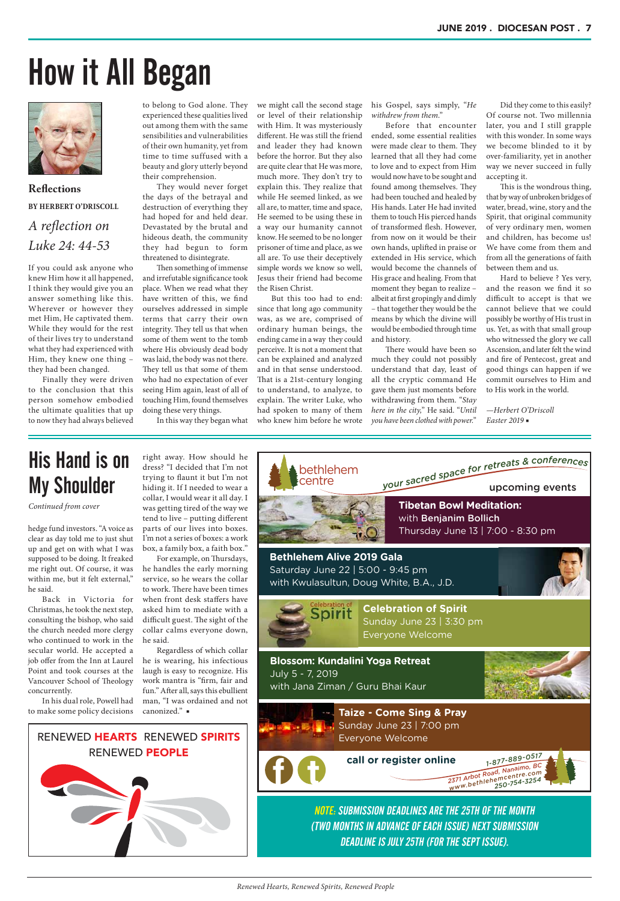# How it All Began

Did they come to this easily? Of course not. Two millennia later, you and I still grapple with this wonder. In some ways we become blinded to it by over-familiarity, yet in another way we never succeed in fully accepting it.

This is the wondrous thing, that by way of unbroken bridges of water, bread, wine, story and the Spirit, that original community of very ordinary men, women and children, has become us! We have come from them and from all the generations of faith between them and us.

Hard to believe ? Yes very, and the reason we find it so difficult to accept is that we cannot believe that we could possibly be worthy of His trust in us. Yet, as with that small group who witnessed the glory we call Ascension, and later felt the wind and fire of Pentecost, great and good things can happen if we commit ourselves to Him and to His work in the world.

*—Herbert O'Driscoll Easter 2019* ■

his Gospel, says simply, "*He withdrew from them*."

Before that encounter ended, some essential realities were made clear to them. They learned that all they had come to love and to expect from Him would now have to be sought and found among themselves. They had been touched and healed by His hands. Later He had invited them to touch His pierced hands of transformed flesh. However, from now on it would be their own hands, uplifted in praise or extended in His service, which would become the channels of His grace and healing. From that moment they began to realize – albeit at first gropingly and dimly – that together they would be the means by which the divine will would be embodied through time and history.

There would have been so much they could not possibly understand that day, least of all the cryptic command He gave them just moments before withdrawing from them. "*Stay here in the city,*" He said. "*Until you have been clothed with power.*"

we might call the second stage or level of their relationship with Him. It was mysteriously different. He was still the friend and leader they had known before the horror. But they also are quite clear that He was more, much more. They don't try to explain this. They realize that while He seemed linked, as we all are, to matter, time and space, He seemed to be using these in a way our humanity cannot know. He seemed to be no longer prisoner of time and place, as we all are. To use their deceptively simple words we know so well, Jesus their friend had become the Risen Christ.

But this too had to end: since that long ago community was, as we are, comprised of ordinary human beings, the ending came in a way they could perceive. It is not a moment that can be explained and analyzed and in that sense understood. That is a 21st-century longing to understand, to analyze, to explain. The writer Luke, who had spoken to many of them who knew him before he wrote



**Reflections BY HERBERT O'DRISCOLL**  *A reflection on Luke 24: 44-53*

If you could ask anyone who knew Him how it all happened, I think they would give you an answer something like this. Wherever or however they met Him, He captivated them. While they would for the rest of their lives try to understand what they had experienced with Him, they knew one thing – they had been changed.

Finally they were driven to the conclusion that this person somehow embodied the ultimate qualities that up to now they had always believed

to belong to God alone. They experienced these qualities lived out among them with the same sensibilities and vulnerabilities of their own humanity, yet from time to time suffused with a beauty and glory utterly beyond their comprehension.

They would never forget the days of the betrayal and destruction of everything they had hoped for and held dear. Devastated by the brutal and hideous death, the community they had begun to form threatened to disintegrate.

Then something of immense and irrefutable significance took place. When we read what they have written of this, we find ourselves addressed in simple terms that carry their own integrity. They tell us that when some of them went to the tomb where His obviously dead body was laid, the body was not there. They tell us that some of them who had no expectation of ever seeing Him again, least of all of touching Him, found themselves doing these very things.

In this way they began what

**Taize - Come Sing & Pray**  Sunday June 23 | 7:00 pm Everyone Welcome





hedge fund investors. "A voice as clear as day told me to just shut up and get on with what I was supposed to be doing. It freaked me right out. Of course, it was within me, but it felt external," he said.

Back in Victoria for Christmas, he took the next step, consulting the bishop, who said the church needed more clergy who continued to work in the secular world. He accepted a Vancouver School of Theology

right away. How should he dress? "I decided that I'm not trying to flaunt it but I'm not hiding it. If I needed to wear a collar, I would wear it all day. I was getting tired of the way we tend to live – putting different parts of our lives into boxes. I'm not a series of boxes: a work box, a family box, a faith box."

job offer from the Inn at Laurel Point and took courses at the concurrently. In his dual role, Powell had to make some policy decisions canonized." ■ Regardless of which collar he is wearing, his infectious laugh is easy to recognize. His work mantra is "firm, fair and fun." After all, says this ebullient man, "I was ordained and not

For example, on Thursdays, he handles the early morning service, so he wears the collar to work. There have been times when front desk staffers have asked him to mediate with a difficult guest. The sight of the collar calms everyone down, he said.

## His Hand is on My Shoulder

*Continued from cover*

NOTE: SUBMISSION DEADLINES ARE THE 25TH OF THE MONTH (TWO MONTHS IN ADVANCE OF EACH ISSUE) NEXT SUBMISSION DEADLINE IS JULY 25TH (FOR THE SEPT ISSUE).

## RENEWED HEARTS RENEWED SPIRITS RENEWED PEOPLE